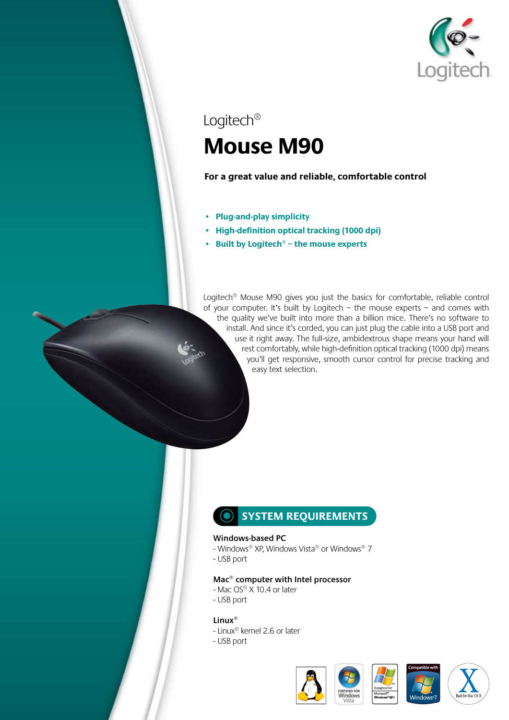

# Logitech® **Mouse M90**

**For a great value and reliable, comfortable control**

- **• Plug-and-play simplicity**
- **• High-definition optical tracking (1000 dpi)**
- **• Built by Logitech® the mouse experts**

Logitech® Mouse M90 gives you just the basics for comfortable, reliable control of your computer. It's built by Logitech – the mouse experts – and comes with the quality we've built into more than a billion mice. There's no software to install. And since it's corded, you can just plug the cable into a USB port and use it right away. The full-size, ambidextrous shape means your hand will rest comfortably, while high-definition optical tracking (1000 dpi) means you'll get responsive, smooth cursor control for precise tracking and easy text selection.

### **SYSTEM REQUIREMENTS**

### **Windows-based PC**

- Windows® XP, Windows Vista® or Windows® 7
- USB port

#### **Mac® computer with Intel processor**

- Mac OS® X 10.4 or later
- USB port

#### **Linux®**

- Linux® kernel 2.6 or later
- USB port